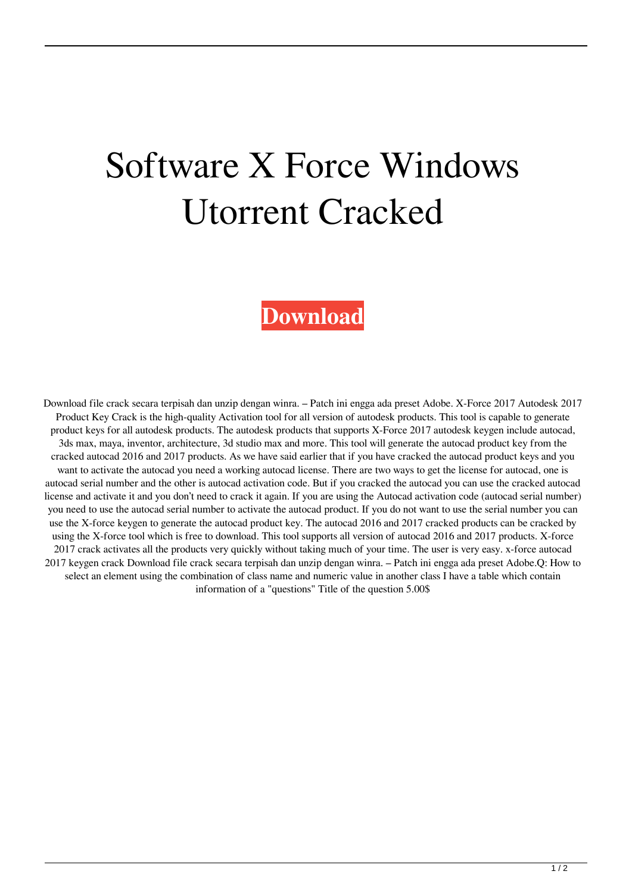## Software X Force Windows Utorrent Cracked

## **[Download](http://evacdir.com/dregs.ZG93bmxvYWR8ZjdYZFcweWZId3hOalV5TnpRd09EWTJmSHd5TlRjMGZId29UU2tnY21WaFpDMWliRzluSUZ0R1lYTjBJRWRGVGww?immunoassay=rippled..dynagram.eCBmb3JjZSBrZXlnZW4gTWF5YSAyMDE3IGNyYWNreCB)**

Download file crack secara terpisah dan unzip dengan winra. – Patch ini engga ada preset Adobe. X-Force 2017 Autodesk 2017 Product Key Crack is the high-quality Activation tool for all version of autodesk products. This tool is capable to generate product keys for all autodesk products. The autodesk products that supports X-Force 2017 autodesk keygen include autocad, 3ds max, maya, inventor, architecture, 3d studio max and more. This tool will generate the autocad product key from the cracked autocad 2016 and 2017 products. As we have said earlier that if you have cracked the autocad product keys and you want to activate the autocad you need a working autocad license. There are two ways to get the license for autocad, one is autocad serial number and the other is autocad activation code. But if you cracked the autocad you can use the cracked autocad license and activate it and you don't need to crack it again. If you are using the Autocad activation code (autocad serial number) you need to use the autocad serial number to activate the autocad product. If you do not want to use the serial number you can use the X-force keygen to generate the autocad product key. The autocad 2016 and 2017 cracked products can be cracked by using the X-force tool which is free to download. This tool supports all version of autocad 2016 and 2017 products. X-force 2017 crack activates all the products very quickly without taking much of your time. The user is very easy. x-force autocad 2017 keygen crack Download file crack secara terpisah dan unzip dengan winra. – Patch ini engga ada preset Adobe.Q: How to select an element using the combination of class name and numeric value in another class I have a table which contain information of a "questions" Title of the question 5.00\$